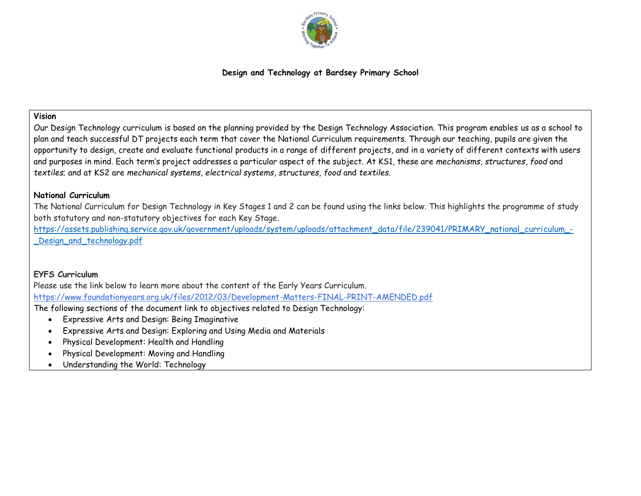

## **Design and Technology at Bardsey Primary School**

#### **Vision**

Our Design Technology curriculum is based on the planning provided by the Design Technology Association. This program enables us as a school to plan and teach successful DT projects each term that cover the National Curriculum requirements. Through our teaching, pupils are given the opportunity to design, create and evaluate functional products in a range of different projects, and in a variety of different contexts with users and purposes in mind. Each term's project addresses a particular aspect of the subject. At KS1, these are *mechanisms*, *structures*, *food* and *textiles*; and at KS2 are *mechanical systems*, *electrical systems*, *structures*, *food* and *textiles*.

#### **National Curriculum**

The National Curriculum for Design Technology in Key Stages 1 and 2 can be found using the links below. This highlights the programme of study both statutory and non-statutory objectives for each Key Stage.

[https://assets.publishing.service.gov.uk/government/uploads/system/uploads/attachment\\_data/file/239041/PRIMARY\\_national\\_curriculum\\_-](https://assets.publishing.service.gov.uk/government/uploads/system/uploads/attachment_data/file/239041/PRIMARY_national_curriculum_-_Design_and_technology.pdf) Design and technology.pdf

#### **EYFS Curriculum**

Please use the link below to learn more about the content of the Early Years Curriculum. <https://www.foundationyears.org.uk/files/2012/03/Development-Matters-FINAL-PRINT-AMENDED.pdf>

The following sections of the document link to objectives related to Design Technology:

- Expressive Arts and Design: Being Imaginative
- Expressive Arts and Design: Exploring and Using Media and Materials
- Physical Development: Health and Handling
- Physical Development: Moving and Handling
- Understanding the World: Technology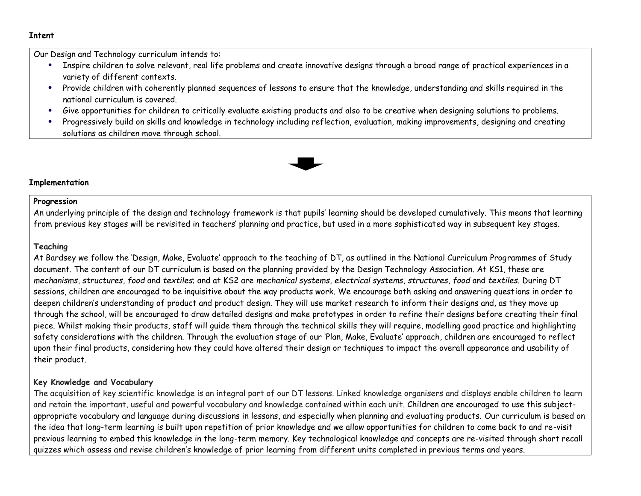#### **Intent**

Our Design and Technology curriculum intends to:

- Inspire children to solve relevant, real life problems and create innovative designs through a broad range of practical experiences in a variety of different contexts.
- Provide children with coherently planned sequences of lessons to ensure that the knowledge, understanding and skills required in the national curriculum is covered.
- Give opportunities for children to critically evaluate existing products and also to be creative when designing solutions to problems.
- Progressively build on skills and knowledge in technology including reflection, evaluation, making improvements, designing and creating solutions as children move through school.



#### **Implementation**

#### **Progression**

An underlying principle of the design and technology framework is that pupils' learning should be developed cumulatively. This means that learning from previous key stages will be revisited in teachers' planning and practice, but used in a more sophisticated way in subsequent key stages.

#### **Teaching**

At Bardsey we follow the 'Design, Make, Evaluate' approach to the teaching of DT, as outlined in the National Curriculum Programmes of Study document. The content of our DT curriculum is based on the planning provided by the Design Technology Association. At KS1, these are *mechanisms*, *structures*, *food* and *textiles*; and at KS2 are *mechanical systems*, *electrical systems*, *structures*, *food* and *textiles*. During DT sessions, children are encouraged to be inquisitive about the way products work. We encourage both asking and answering questions in order to deepen children's understanding of product and product design. They will use market research to inform their designs and, as they move up through the school, will be encouraged to draw detailed designs and make prototypes in order to refine their designs before creating their final piece. Whilst making their products, staff will guide them through the technical skills they will require, modelling good practice and highlighting safety considerations with the children. Through the evaluation stage of our 'Plan, Make, Evaluate' approach, children are encouraged to reflect upon their final products, considering how they could have altered their design or techniques to impact the overall appearance and usability of their product.

#### **Key Knowledge and Vocabulary**

The acquisition of key scientific knowledge is an integral part of our DT lessons. Linked knowledge organisers and displays enable children to learn and retain the important, useful and powerful vocabulary and knowledge contained within each unit. Children are encouraged to use this subjectappropriate vocabulary and language during discussions in lessons, and especially when planning and evaluating products. Our curriculum is based on the idea that long-term learning is built upon repetition of prior knowledge and we allow opportunities for children to come back to and re-visit previous learning to embed this knowledge in the long-term memory. Key technological knowledge and concepts are re-visited through short recall quizzes which assess and revise children's knowledge of prior learning from different units completed in previous terms and years.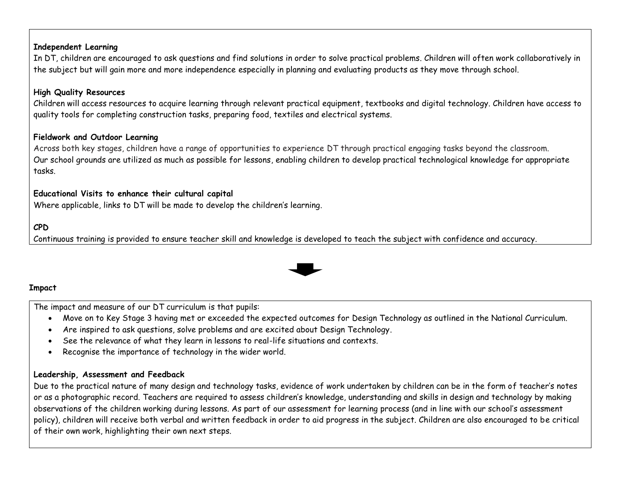### **Independent Learning**

In DT, children are encouraged to ask questions and find solutions in order to solve practical problems. Children will often work collaboratively in the subject but will gain more and more independence especially in planning and evaluating products as they move through school.

# **High Quality Resources**

Children will access resources to acquire learning through relevant practical equipment, textbooks and digital technology. Children have access to quality tools for completing construction tasks, preparing food, textiles and electrical systems.

### **Fieldwork and Outdoor Learning**

Across both key stages, children have a range of opportunities to experience DT through practical engaging tasks beyond the classroom. Our school grounds are utilized as much as possible for lessons, enabling children to develop practical technological knowledge for appropriate tasks.

# **Educational Visits to enhance their cultural capital**

Where applicable, links to DT will be made to develop the children's learning.

# **CPD**

Continuous training is provided to ensure teacher skill and knowledge is developed to teach the subject with confidence and accuracy.



# **Impact**

The impact and measure of our DT curriculum is that pupils:

- Move on to Key Stage 3 having met or exceeded the expected outcomes for Design Technology as outlined in the National Curriculum.
- Are inspired to ask questions, solve problems and are excited about Design Technology.
- See the relevance of what they learn in lessons to real-life situations and contexts.
- Recognise the importance of technology in the wider world.

# **Leadership, Assessment and Feedback**

Due to the practical nature of many design and technology tasks, evidence of work undertaken by children can be in the form of teacher's notes or as a photographic record. Teachers are required to assess children's knowledge, understanding and skills in design and technology by making observations of the children working during lessons. As part of our assessment for learning process (and in line with our school's assessment policy), children will receive both verbal and written feedback in order to aid progress in the subject. Children are also encouraged to be critical of their own work, highlighting their own next steps.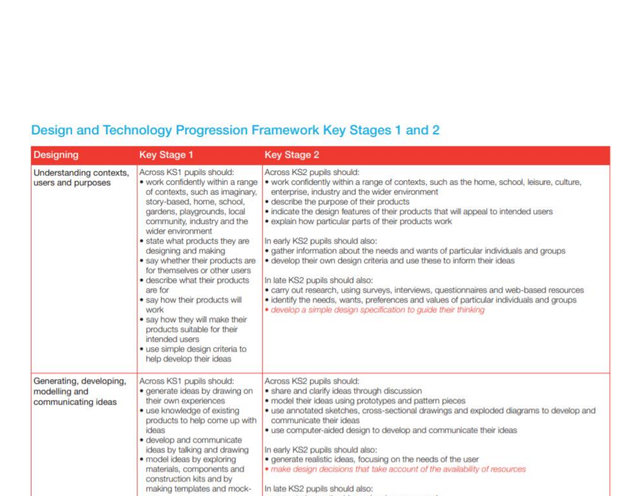# Design and Technology Progression Framework Key Stages 1 and 2

| <b>Designing</b>                                                | <b>Key Stage 1</b>                                                                                                                                                                                                                                                                                                                                                                                                                                                                                                                                                                        | <b>Key Stage 2</b>                                                                                                                                                                                                                                                                                                                                                                                                                                                                                                                                                                                                                                                                                                                                                                                                                                                       |  |  |  |
|-----------------------------------------------------------------|-------------------------------------------------------------------------------------------------------------------------------------------------------------------------------------------------------------------------------------------------------------------------------------------------------------------------------------------------------------------------------------------------------------------------------------------------------------------------------------------------------------------------------------------------------------------------------------------|--------------------------------------------------------------------------------------------------------------------------------------------------------------------------------------------------------------------------------------------------------------------------------------------------------------------------------------------------------------------------------------------------------------------------------------------------------------------------------------------------------------------------------------------------------------------------------------------------------------------------------------------------------------------------------------------------------------------------------------------------------------------------------------------------------------------------------------------------------------------------|--|--|--|
| Understanding contexts,<br>users and purposes                   | Across KS1 pupils should:<br>• work confidently within a range<br>of contexts, such as imaginary,<br>story-based, home, school,<br>gardens, playgrounds, local<br>community, industry and the<br>wider environment<br>· state what products they are<br>designing and making<br>· say whether their products are<br>for themselves or other users<br>· describe what their products<br>are for<br>• say how their products will<br>work<br>· say how they will make their<br>products suitable for their<br>intended users<br>· use simple design criteria to<br>help develop their ideas | Across KS2 pupils should:<br>. work confidently within a range of contexts, such as the home, school, leisure, culture,<br>enterprise, industry and the wider environment<br>· describe the purpose of their products<br>. indicate the design features of their products that will appeal to intended users<br>· explain how particular parts of their products work<br>In early KS2 pupils should also:<br>. gather information about the needs and wants of particular individuals and groups<br>· develop their own design criteria and use these to inform their ideas<br>In late KS2 pupils should also:<br>• carry out research, using surveys, interviews, questionnaires and web-based resources<br>· identify the needs, wants, preferences and values of particular individuals and groups<br>· develop a simple design specification to guide their thinking |  |  |  |
| Generating, developing,<br>modelling and<br>communicating ideas | Across KS1 pupils should:<br>· generate ideas by drawing on<br>their own experiences<br>· use knowledge of existing<br>products to help come up with<br>ideas<br>· develop and communicate<br>ideas by talking and drawing<br>· model ideas by exploring<br>materials, components and<br>construction kits and by<br>making templates and mock-                                                                                                                                                                                                                                           | Across KS2 pupils should:<br>· share and clarify ideas through discussion<br>· model their ideas using prototypes and pattern pieces<br>· use annotated sketches, cross-sectional drawings and exploded diagrams to develop and<br>communicate their ideas<br>· use computer-aided design to develop and communicate their ideas<br>In early KS2 pupils should also:<br>· generate realistic ideas, focusing on the needs of the user<br>. make design decisions that take account of the availability of resources<br>In late KS2 pupils should also:                                                                                                                                                                                                                                                                                                                   |  |  |  |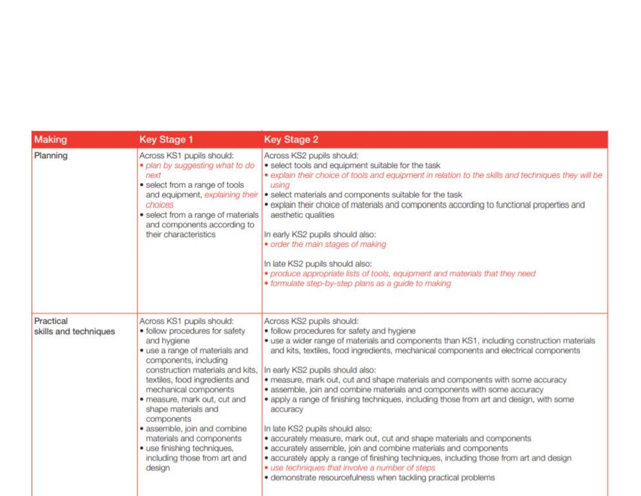| <b>Making</b>                                                                                                                                                                                                                                                                                                                                                                                                                                                                        | <b>Key Stage 1</b>                                                                                                                                                                                                                                 | <b>Key Stage 2</b>                                                                                                                                                                                                                                                                                                                                                                                                                                                                                                                                                                                                                                                                                                                                                                                                                                                                                                                                                       |  |  |
|--------------------------------------------------------------------------------------------------------------------------------------------------------------------------------------------------------------------------------------------------------------------------------------------------------------------------------------------------------------------------------------------------------------------------------------------------------------------------------------|----------------------------------------------------------------------------------------------------------------------------------------------------------------------------------------------------------------------------------------------------|--------------------------------------------------------------------------------------------------------------------------------------------------------------------------------------------------------------------------------------------------------------------------------------------------------------------------------------------------------------------------------------------------------------------------------------------------------------------------------------------------------------------------------------------------------------------------------------------------------------------------------------------------------------------------------------------------------------------------------------------------------------------------------------------------------------------------------------------------------------------------------------------------------------------------------------------------------------------------|--|--|
| Planning                                                                                                                                                                                                                                                                                                                                                                                                                                                                             | Across KS1 pupils should:<br>· plan by suggesting what to do<br>next<br>· select from a range of tools<br>and equipment, explaining their<br>choices<br>· select from a range of materials<br>and components according to<br>their characteristics | Across KS2 pupils should:<br>· select tools and equipment suitable for the task<br>· explain their choice of tools and equipment in relation to the skills and techniques they will be<br>using<br>· select materials and components suitable for the task<br>• explain their choice of materials and components according to functional properties and<br>aesthetic qualities<br>In early KS2 pupils should also:<br>· order the main stages of making<br>In late KS2 pupils should also:<br>· produce appropriate lists of tools, equipment and materials that they need<br>· formulate step-by-step plans as a guide to making                                                                                                                                                                                                                                                                                                                                        |  |  |
| Practical<br>Across KS1 pupils should:<br>· follow procedures for safety<br>skills and techniques<br>and hygiene<br>· use a range of materials and<br>components, including<br>construction materials and kits,<br>textiles, food ingredients and<br>mechanical components<br>· measure, mark out, cut and<br>shape materials and<br>components<br>· assemble, join and combine<br>materials and components<br>· use finishing techniques,<br>including those from art and<br>design |                                                                                                                                                                                                                                                    | Across KS2 pupils should:<br>· follow procedures for safety and hygiene<br>• use a wider range of materials and components than KS1, including construction materials<br>and kits, textiles, food ingredients, mechanical components and electrical components<br>In early KS2 pupils should also:<br>• measure, mark out, cut and shape materials and components with some accuracy<br>· assemble, join and combine materials and components with some accuracy<br>• apply a range of finishing techniques, including those from art and design, with some<br>accuracy<br>In late KS2 pupils should also:<br>· accurately measure, mark out, cut and shape materials and components<br>· accurately assemble, join and combine materials and components<br>· accurately apply a range of finishing techniques, including those from art and design<br>· use techniques that involve a number of steps<br>· demonstrate resourcefulness when tackling practical problems |  |  |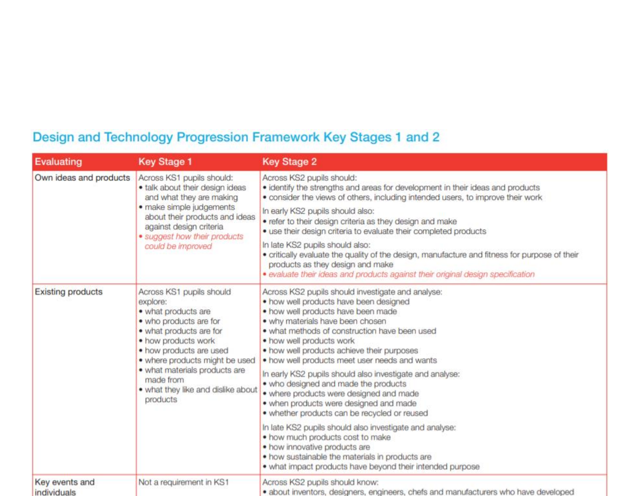# Design and Technology Progression Framework Key Stages 1 and 2

| <b>Evaluating</b>             | <b>Key Stage 1</b>                                                                                                                                                                                                                                                                                   | <b>Key Stage 2</b>                                                                                                                                                                                                                                                                                                                                                                                                                                                                                                                                                                         |
|-------------------------------|------------------------------------------------------------------------------------------------------------------------------------------------------------------------------------------------------------------------------------------------------------------------------------------------------|--------------------------------------------------------------------------------------------------------------------------------------------------------------------------------------------------------------------------------------------------------------------------------------------------------------------------------------------------------------------------------------------------------------------------------------------------------------------------------------------------------------------------------------------------------------------------------------------|
| Own ideas and products        | Across KS1 pupils should:<br>· talk about their design ideas<br>and what they are making<br>· make simple judgements<br>about their products and ideas<br>against design criteria<br>• suggest how their products<br>could be improved                                                               | Across KS2 pupils should:<br>· identify the strengths and areas for development in their ideas and products<br>. consider the views of others, including intended users, to improve their work                                                                                                                                                                                                                                                                                                                                                                                             |
|                               |                                                                                                                                                                                                                                                                                                      | In early KS2 pupils should also:<br>. refer to their design criteria as they design and make<br>. use their design criteria to evaluate their completed products                                                                                                                                                                                                                                                                                                                                                                                                                           |
|                               |                                                                                                                                                                                                                                                                                                      | In late KS2 pupils should also:<br>• critically evaluate the quality of the design, manufacture and fitness for purpose of their<br>products as they design and make<br>· evaluate their ideas and products against their original design specification                                                                                                                                                                                                                                                                                                                                    |
| <b>Existing products</b>      | Across KS1 pupils should<br>explore:<br>• what products are<br>• who products are for<br>· what products are for<br>• how products work<br>· how products are used<br>• where products might be used<br>· what materials products are<br>made from<br>. what they like and dislike about<br>products | Across KS2 pupils should investigate and analyse:<br>. how well products have been designed<br>. how well products have been made<br>. why materials have been chosen<br>. what methods of construction have been used<br>. how well products work<br>. how well products achieve their purposes<br>. how well products meet user needs and wants<br>In early KS2 pupils should also investigate and analyse:<br>. who designed and made the products<br>· where products were designed and made<br>· when products were designed and made<br>· whether products can be recycled or reused |
|                               |                                                                                                                                                                                                                                                                                                      | In late KS2 pupils should also investigate and analyse:<br>. how much products cost to make<br>· how innovative products are<br>. how sustainable the materials in products are<br>. what impact products have beyond their intended purpose                                                                                                                                                                                                                                                                                                                                               |
| Key events and<br>individuals | Not a requirement in KS1                                                                                                                                                                                                                                                                             | Across KS2 pupils should know:<br>· about inventors, designers, engineers, chefs and manufacturers who have developed                                                                                                                                                                                                                                                                                                                                                                                                                                                                      |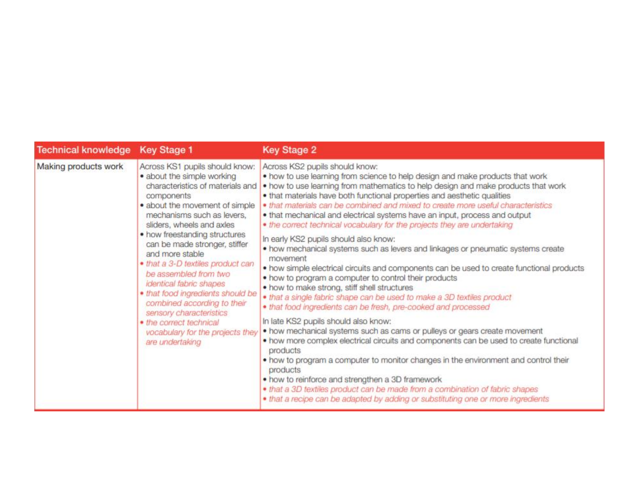| Technical knowledge Key Stage 1 |                                                                                                                                                                                                                                                                                                                                                                                                                                                                                                                                                                            | <b>Key Stage 2</b>                                                                                                                                                                                                                                                                                                                                                                                                                                                                                                                                                                                                                                                                                                                                                                                                                                                                                                                                                                                                                                                                                                                                                                                                                                                                                                                                                                                                                                                                                                                                                              |  |  |
|---------------------------------|----------------------------------------------------------------------------------------------------------------------------------------------------------------------------------------------------------------------------------------------------------------------------------------------------------------------------------------------------------------------------------------------------------------------------------------------------------------------------------------------------------------------------------------------------------------------------|---------------------------------------------------------------------------------------------------------------------------------------------------------------------------------------------------------------------------------------------------------------------------------------------------------------------------------------------------------------------------------------------------------------------------------------------------------------------------------------------------------------------------------------------------------------------------------------------------------------------------------------------------------------------------------------------------------------------------------------------------------------------------------------------------------------------------------------------------------------------------------------------------------------------------------------------------------------------------------------------------------------------------------------------------------------------------------------------------------------------------------------------------------------------------------------------------------------------------------------------------------------------------------------------------------------------------------------------------------------------------------------------------------------------------------------------------------------------------------------------------------------------------------------------------------------------------------|--|--|
| Making products work            | Across KS1 pupils should know:<br>· about the simple working<br>characteristics of materials and<br>components<br>· about the movement of simple<br>mechanisms such as levers.<br>sliders, wheels and axles<br>• how freestanding structures<br>can be made stronger, stiffer<br>and more stable<br>· that a 3-D textiles product can<br>be assembled from two<br>identical fabric shapes<br>· that food ingredients should be<br>combined according to their<br>sensory characteristics<br>· the correct technical<br>vocabulary for the projects they<br>are undertaking | Across KS2 pupils should know:<br>. how to use learning from science to help design and make products that work<br>. how to use learning from mathematics to help design and make products that work<br>. that materials have both functional properties and aesthetic qualities<br>• that materials can be combined and mixed to create more useful characteristics<br>. that mechanical and electrical systems have an input, process and output<br>. the correct technical vocabulary for the projects they are undertaking<br>In early KS2 pupils should also know:<br>. how mechanical systems such as levers and linkages or pneumatic systems create<br>movement<br>. how simple electrical circuits and components can be used to create functional products<br>. how to program a computer to control their products<br>. how to make strong, stiff shell structures<br>. that a single fabric shape can be used to make a 3D textiles product<br>. that food ingredients can be fresh, pre-cooked and processed<br>In late KS2 pupils should also know:<br>. how mechanical systems such as cams or pulleys or gears create movement<br>. how more complex electrical circuits and components can be used to create functional<br>products<br>. how to program a computer to monitor changes in the environment and control their<br>products<br>• how to reinforce and strengthen a 3D framework<br>. that a 3D textiles product can be made from a combination of fabric shapes<br>. that a recipe can be adapted by adding or substituting one or more ingredients |  |  |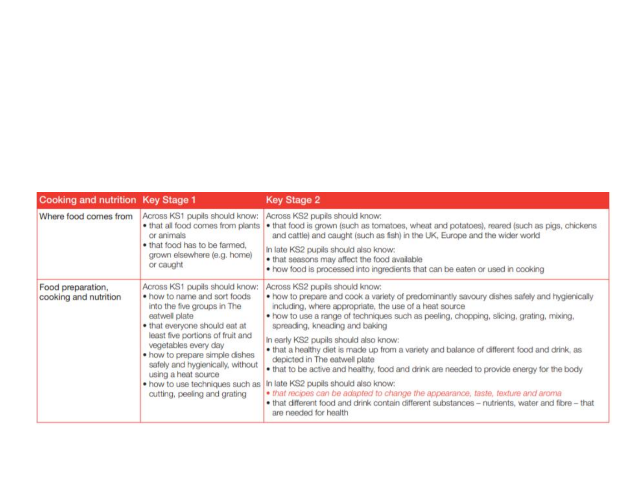| <b>Cooking and nutrition Key Stage 1</b>   |                                                                                                                                                                                                                                                                                                                                                                             | <b>Key Stage 2</b>                                                                                                                                                                                                                                                                                                                                                                                                                                                                                                                                                                                                                                                                                                                                                                                                                                  |  |  |
|--------------------------------------------|-----------------------------------------------------------------------------------------------------------------------------------------------------------------------------------------------------------------------------------------------------------------------------------------------------------------------------------------------------------------------------|-----------------------------------------------------------------------------------------------------------------------------------------------------------------------------------------------------------------------------------------------------------------------------------------------------------------------------------------------------------------------------------------------------------------------------------------------------------------------------------------------------------------------------------------------------------------------------------------------------------------------------------------------------------------------------------------------------------------------------------------------------------------------------------------------------------------------------------------------------|--|--|
| Where food comes from                      | Across KS1 pupils should know:<br>. that all food comes from plants<br>or animals<br>. that food has to be farmed,<br>grown elsewhere (e.g. home)<br>or caught                                                                                                                                                                                                              | Across KS2 pupils should know:<br>. that food is grown (such as tomatoes, wheat and potatoes), reared (such as pigs, chickens<br>and cattle) and caught (such as fish) in the UK, Europe and the wider world<br>In late KS2 pupils should also know:<br>. that seasons may affect the food available<br>. how food is processed into ingredients that can be eaten or used in cooking                                                                                                                                                                                                                                                                                                                                                                                                                                                               |  |  |
| Food preparation,<br>cooking and nutrition | Across KS1 pupils should know:<br>. how to name and sort foods<br>into the five groups in The<br>eatwell plate<br>. that everyone should eat at<br>least five portions of fruit and<br>vegetables every day<br>. how to prepare simple dishes<br>safely and hygienically, without<br>using a heat source<br>. how to use techniques such as<br>cutting, peeling and grating | Across KS2 pupils should know:<br>. how to prepare and cook a variety of predominantly savoury dishes safely and hygienically<br>including, where appropriate, the use of a heat source<br>• how to use a range of techniques such as peeling, chopping, slicing, grating, mixing,<br>spreading, kneading and baking<br>In early KS2 pupils should also know:<br>. that a healthy diet is made up from a variety and balance of different food and drink, as<br>depicted in The eatwell plate<br>. that to be active and healthy, food and drink are needed to provide energy for the body<br>In late KS2 pupils should also know:<br>· that recipes can be adapted to change the appearance, taste, texture and aroma<br>. that different food and drink contain different substances - nutrients, water and fibre - that<br>are needed for health |  |  |